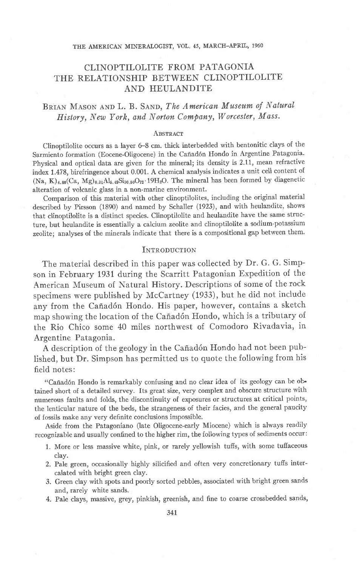#### THE AMERICAN MINERAIOGIST, VOL.45, MARCH-APRIL, 1960

# CLINOPTILOLITE FROM PATAGONIA THE RELATIONSHIP BETWEEN CLINOPTILOLITE AND HEULANDITE

## BRIAN MASON AND L. B. SAND, The American Museum of Natural History, New York, and Norton Company, Worcester, Mass.

### ABSTRACT

Clinoptilolite occurs as a layer 6-8 cm. thick interbedded with bentonitic clays of the Sarmiento formation (Eocene-Oligocene) in the Cañadón Hondo in Argentine Patagonia. Physical and optical data are given for the mineral; its density is 2.11, mean refractive index 1.478, birefringence about 0.001. A chemical analysis indicates a unit cell content of  $(Na, K)_{4.80}(Ca, Mg)_{0.31}Al_{5.49}Si_{30.50}O_{72}\cdot 19H_2O$ . The mineral has been formed by diagenetic alteration of volcanic glass in a non-marine environment.

Comparison of this material with other clinoptilolites, including the original material described by Pirsson (1890) and named by Schaller (1923), and with heulandite, shows that clinoptilolite is a distinct species. Clinoptilolite and heulandite have the same structure, but heulandite is essentially a calcium zeolite and clinoptilolite a sodium-potassium zeolite; analyses of the minerals indicate that there is a compositional gap between them.

### **INTRODUCTION**

The material described in this paper was collected by Dr. G. G. Simpson in February 1931 during the Scarritt Patagonian Expedition of the American Museum of Natural History. Descriptions of some of the rock specimens were published by McCartney (1933), but he did not include any from the Cañadón Hondo. His paper, however, contains a sketch map showing the location of the Cañadón Hondo, which is a tributary of the Rio Chico some 40 miles northwest of Comodoro Rivadavia, in Argentine Patagonia.

A description of the geology in the Cañadón Hondo had not been published, but Dr. Simpson has permitted us to quote the following from his field notes:

"Cañadón Hondo is remarkably confusing and no clear idea of its geology can be obtained short of a detailed survey. Its great size, very complex and obscure structure with numerous faults and folds, the discontinuity of exposures or structures at critical points, the lenticular nature of the beds, the strangeness of their facies, and the general paucity of fossils make any very definite conclusions impossible.

Aside from the Patagoniano (late Oligocene-early Miocene) which is always readily recognizable and usually confined to the higher rim, the following types of sediments occur:

- 1. More or less massive white, pink, or rarely yellowish tuffs, with some tufiaceous clay.
- 2. Pale green, occasionally highly silicified and often very concretionary tufis intercalated with bright green clay.
- 3. Green clay with spots and poorly sorted pebbles, associated with bright green sands and, rarely white sands.
- 4. Pale clays, massive, grey, pinkish, greenish, and fine to coarse crossbedded sands,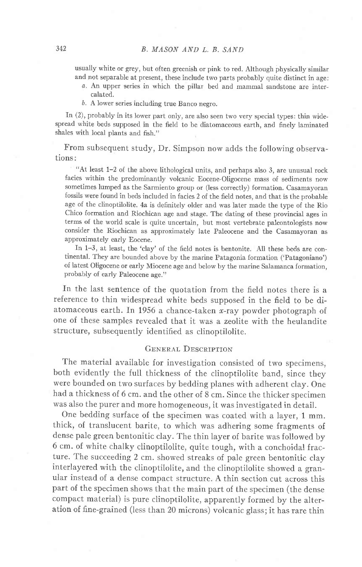usually white or grey, but often greenish or pink to red. Although physically simiiar and not separable at present, these include two parts probably quite distinct in age:

- a. An upper series in which the pillar bed and mammal sandstone are intercalated.
- b. A lower series including true Banco negro.

In (2), probably in its iower part only, are also seen two very special types: thin widespread white beds supposed in the field to be diatomaceous earth, and finely laminated shales with local plants and fish."

From subsequent study, Dr. Simpson now adds the following observations:

"At least 1-2 of the above lithological units, and perhaps also 3, are unusual rock facies within the predominantly volcanic Eocene-Oligocene mass of sediments now sometimes lumped as the Sarmiento group or (less correctly) formation. Casamayoran fossils were found in beds included in facies 2 of the field notes, and that is the probable age of the clinoptilolite. 4a is definitely older and was later made the type of the Rio Chico formation and Riochican age and stage. The dating of these provincial ages in terms of the world scale is quite uncertain, but most vertebrate paleontologists now consider the Riochican as approximately late Paleocene and the Casamayoran as approximately early Eocene.

In 1-3, at least, the'clay' of the field notes is bentonite. All these beds are continental. They are bounded above by the marine Patagonia formation ('Patagoniano') of latest Oligocene or early Miocene age and below by the marine Salamanca formation, probably of early Paleocene age."

In the last sentence of the quotation from the field notes there is a reference to thin widespread white beds supposed in the field to be diatomaceous earth. In 1956 a chance-taken x-ray powder photograph of one of these samples revealed that it was a zeolite with the heulandite structure, subsequently identified as clinoptilolite.

### GENERAL DESCRIPTION

The material available for investigation consisted of two specimens, both evidently the full thickness of the clinoptilolite band, since they were bounded on two surfaces by bedding planes with adherent clay. One had a thickness of 6 cm. and the other of 8 cm. Since the thicker specimen was also the purer and more homogeneous, it was investigated in detail.

One bedding surface of the specimen was coated with a layer, 1 mm. thick, of translucent barite, to which was adhering some fragments of dense pale green bentonitic clay. The thin layer of barite was followed by 6 cm. of white chalky clinoptilolite, quite tough, with a conchoidal fracture. The succeeding 2 cm. showed streaks of pale green bentonitic clay interlayered with the clinoptilolite, and the clinoptilolite showed a granular instead of a dense compact structure. A thin section cut across this part of the specimen shows that the main part of the specimen (the dense compact material) is pure clinoptilolite, apparently formed by the alteration of fine-grained (less than 20 microns) volcanic glass; it has rare thin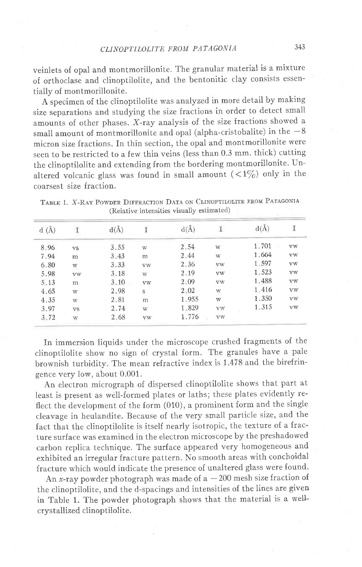veinlets of opal and montmorillonite. The granular material is a mixture of orthoclase and clinoptilolite, and the bentonitic clay consists essentially of montmorillonite.

A specimen of the clinoptilolite was analyzed in more detail by making size separations and studying the size fractions in order to detect small amounts of other phases. X-ray analysis of the size fractions showed a small amount of montmorillonite and opal (alpha-cristobalite) in the  $-8$ micron size fractions. In thin section, the opal and montmorillonite were seen to be restricted to a few thin veins (less than 0.3 mm. thick) cutting the clinoptilolite and extending from the bordering montmorillonite. Unaltered volcanic glass was found in small amount  $(<1\%)$  only in the coarsest size fraction.

TABLE 1. X-RAY POWDER DIFFRACTION DATA ON CLINOPTILOLITE FROM PATAGONIA (Relative intensities visually estimated)

| d(A) |           | $d(\AA)$ |             | $d(\AA)$ |                         | $d(\AA)$ |             |
|------|-----------|----------|-------------|----------|-------------------------|----------|-------------|
| 8.96 | <b>VS</b> | 3.55     | W           | 2.54     | W                       | 1.701    | <b>VW</b>   |
| 7.94 | m         | 3.43     | m           | 2.44     | W                       | 1.664    | <b>VW</b>   |
| 6.80 | W         | 3.33     | <b>VW</b>   | 2.36     | VW                      | 1.597    | <b>VW</b>   |
| 5.98 | <b>VW</b> | 3.18     | W           | 2.19     | <b>VW</b>               | 1.523    | $_{\rm VW}$ |
| 5.13 | m         | 3.10     | <b>VW</b>   | 2.09     | VW                      | 1.488    | <b>VW</b>   |
| 4.65 | W         | 2.98     | $\mathbf S$ | 2.02     | W                       | 1.416    | <b>VW</b>   |
| 4.35 | W         | 2.81     | m           | 1.955    | $\ensuremath{\text{W}}$ | 1.350    | <b>VW</b>   |
| 3.97 | <b>VS</b> | 2.74     | W           | 1.829    | <b>VW</b>               | 1.315    | <b>VW</b>   |
| 3.72 | W         | 2.68     | <b>VW</b>   | 1.776    | <b>VW</b>               |          |             |
|      |           |          |             |          |                         |          |             |

In immersion liquids under the microscope crushed fragments of the ciinoptilolite show no sign of crystal form. The granules have a pale brownish turbidity. The mean refractive index is 1.478 and the birefringence very low, about 0.001.

An electron micrograph of dispersed clinoptilolite shows that part at least is present as well-formed plates or laths; these plates evidently reflect the development of the form (010), a prominent form and the single cleavage in heulandite. Because of the very small particle size, and the fact that the clinoptilolite is itself nearly isotropic, the texture of a fracture surface was examined in the electron microscope by the preshadowed carbon replica technique. The surface appeared very homogeneous and exhibited an irregular fracture pattern. No smooth areas with conchoidal fracture which would indicate the presence of unaltered glass were found.

An x-ray powder photograph was made of  $a - 200$  mesh size fraction of the clinoptilolite, and the d-spacings and intensities of the lines are given in Table 1. The powder photograph shows that the material is a wellcrystallized clinoptilolite.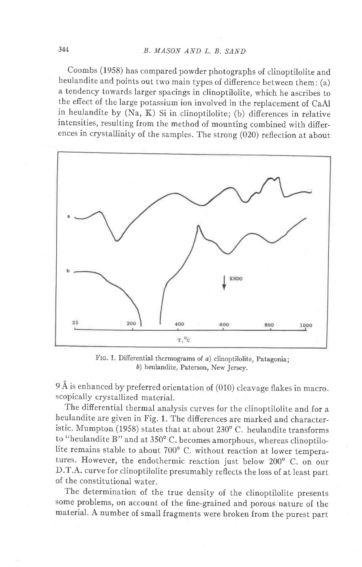## 344 B. MASON AND L, B. SAND

coombs (1958) has compared powder photographs of clinoptilolite and heulandite and points out two main types of difierence between them: (a) a tendency towards larger spacings in clinoptilolite, which he ascribes to the effect of the large potassium ion involved in the replacement of caAI in heulandite by (Na, K) Si in clinoptilolite; (b) differences in relative intensities, resulting from the method of mounting combined with difierences in crystallinity of the samples. The strong (020) reflection at about



FIG. 1. Differential thermograms of  $a$ ) clinoptilolite, Patagonia; b) heulandite, Paterson, New Jersey.

9 A is enhanced by preferred orientation of (010) cleavage flakes in macroscopically crystallized material.

The differential thermal analysis curves for the clinoptilolite and for a heulandite are given in Fig. 1. The difierences are marked and characteristic. Mumpton (1958) states that at about  $230^{\circ}$  C. heulandite transforms to "heulandite B" and at  $350^{\circ}$  C. becomes amorphous, whereas clinoptilolite remains stable to about 700° C. without reaction at lower temperatures. However, the endothermic reaction just below 200° C. on our D.T.A. curve for clinoptilolite presumably reflects the loss of at least part of the constitutional water.

The determination of the true density of the clinoptilolite presents some problems, on account of the fine-grained and porous nature of the material. A number of small fragments were broken from the purest part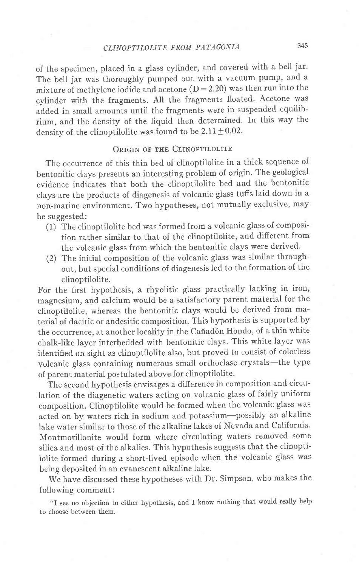# CLINOPTILOLITE FROM PATAGONIA 345

of the specimen, placed in a glass cylinder, and covered with a bell jar. The bell jar was thoroughly pumped out with a vacuum pump, and a mixture of methylene iodide and acetone  $(D = 2.20)$  was then run into the cylinder with the fragments. All the fragments floated. Acetone was added in small amounts until the fragments were in suspended equilibrium, and the density of the liquid then determined. In this way the density of the clinoptilolite was found to be  $2.11 \pm 0.02$ .

### ORIGIN OF THE CLINOPTILOLITE

The occurrence of this thin bed of clinoptilolite in a thick sequence of bentonitic clays presents an interesting problem of origin. The geological evidence indicates that both the clinoptilolite bed and the bentonitic clays are the products of diagenesis of volcanic glass tuffs laid down in a non-marine environment. Two hypotheses, not mutually exclusive, may be suggested:

- (1) The clinoptilolite bed was formed from a volcanic glass of composition rather similar to that of the clinoptilolite, and different from the volcanic glass from which the bentonitic clays were derived.
- (2) The initial composition of the volcanic glass was similar throughout, but special conditions of diagenesis led to the formation of the clinoptilolite.

For the first hypothesis, a rhyolitic glass practically lacking in iron, magnesium, and calcium would be a satisfactory parent material for the clinoptilolite, whereas the bentonitic clays would be derived from material of dacitic or andesitic composition. This hypothesis is supported by the occurrence, at another locality in the Cañadón Hondo, of a thin white chalk-like layer interbedded with bentonitic clays. This white layer was identified on sight as clinoptilolite also, but proved to consist of colorless volcanic glass containing numerous small orthoclase crystals-the type of parent material postulated above for clinoptilolite.

The second hypothesis envisages a difference in composition and circulation of the diagenetic waters acting on volcanic glass of fairly uniform composition. Clinoptilolite would be formed when the volcanic glass was acted on by waters rich in sodium and potassium-possibly an alkaline Iake water similar to those of the alkaline lakes of Nevada and California. Montmorillonite would form where circulating waters removed some silica and most of the alkalies. This hypothesis suggests that the clinoptilolite formed during a short-lived episode when the volcanic glass was being deposited in an evanescent alkaline lake.

We have discussed these hypotheses with Dr. Simpson, who makes the following comment:

"I see no objection to either hypothesis, and I know nothing that would really help to choose between them.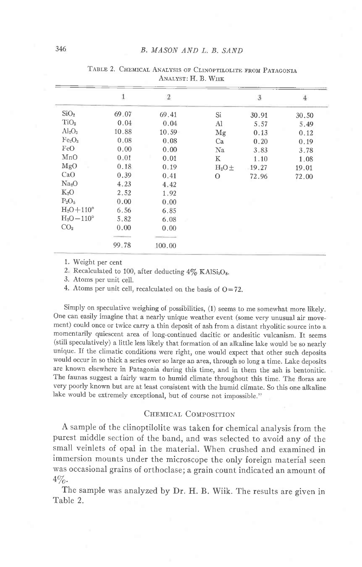|                                | 1     | $\overline{2}$ |               | 3     | $\overline{4}$ |  |  |  |  |
|--------------------------------|-------|----------------|---------------|-------|----------------|--|--|--|--|
| SiO <sub>2</sub>               | 69.07 | 69.41          | Si            | 30.91 | 30.50          |  |  |  |  |
| TiO <sub>2</sub>               | 0.04  | 0.04           | Al            | 5.57  | 5.49           |  |  |  |  |
| $Al_2O_3$                      | 10.88 | 10.59          | Mg            | 0.13  | 0.12           |  |  |  |  |
| Fe <sub>2</sub> O <sub>3</sub> | 0.08  | 0.08           | Ca            | 0.20  | 0.19           |  |  |  |  |
| FeO                            | 0.00  | 0.00           | Na            | 3.83  | 3.78           |  |  |  |  |
| MnO                            | 0.01  | 0.01           | K             | 1.10  | 1.08           |  |  |  |  |
| MgO                            | 0.18  | 0.19           | $H_2O \pm$    | 19.27 | 19.01          |  |  |  |  |
| CaO                            | 0.39  | 0.41           | $\mathcal{O}$ | 72.96 | 72.00          |  |  |  |  |
| Na <sub>2</sub> O              | 4.23  | 4.42           |               |       |                |  |  |  |  |
| $K_2O$                         | 2.52  | 1.92           |               |       |                |  |  |  |  |
| $P_2O_5$                       | 0.00  | 0.00           |               |       |                |  |  |  |  |
| $H_2O+110^{\circ}$             | 6.56  | 6.85           |               |       |                |  |  |  |  |
| $H_2O-110^{\circ}$             | 5.82  | 6.08           |               |       |                |  |  |  |  |
| CO <sub>2</sub>                | 0.00  | 0.00           |               |       |                |  |  |  |  |
|                                |       |                |               |       |                |  |  |  |  |
|                                | 99.78 | 100.00         |               |       |                |  |  |  |  |

TABLE 2. CHEMICAL ANALYSIS OF CLINOPTILOLITE FROM PATAGONIA ANALVST: H. B. WHE

1. Weight per cent

2. Recalculated to 100, after deducting  $4\%$  KAISi<sub>3</sub>O<sub>8</sub>.

3. Atoms per unit ceil.

4. Atoms per unit cell, recalculated on the basis of  $O=72$ .

Simply on specuiative weighing of possibilities, (1) seems to me somewhat more likely. one can easily imagine that a nearly unique weather event (some very unusual air movement) could once or twice carry a thin deposit of ash from a distant rhyolitic source into a momentarily quiescent area of long-continued dacitic or andesitic vulcanism. It seems (still speculatively) a little less likely that formation of an alkaline lake would be so nearly unique. If the climatic conditions were right, one would expect that other such deposits would occur in so thick a series over so large an area, through so long a time. Lake deposits are known elsewhere in Patagonia during this time, and in them the ash is bentonitic. The faunas suggest a fairly warm to humid climate throughout this time. The floras are very poorly known but are at least consistent with the humid climate. So this one alkaline lake would be extremely exceptional, but of course not impossible."

## CHEMICAL COMPOSITION

A sample of the clinoptilolite was taken for chemical analysis from the purest middle section of the band, and was selected to avoid any of the small veinlets of opal in the material. When crushed and examined in immersion mounts under the microscope the only foreign material seen was occasional grains of orthoclase; a grain count indicated an amount of  $4\%$ .

The sample was analyzed by Dr. H. B. Wiik. The results are given in Table 2.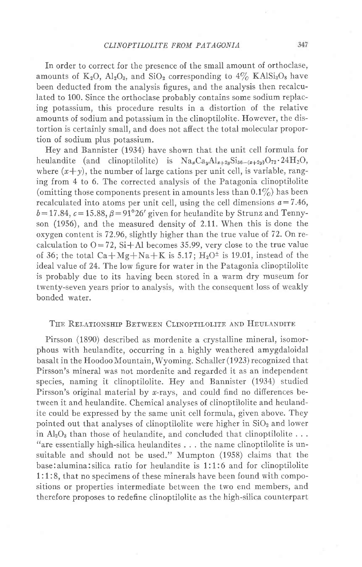In order to correct for the presence of the small amount of orthoclase, amounts of  $K_2O$ ,  $Al_2O_3$ , and  $SiO_2$  corresponding to  $4\%$  KAISi<sub>3</sub>O<sub>8</sub> have been deducted from the analysis figures, and the analysis then recalculated to 100. Since the orthoclase probably contains some sodium replacing potassium, this procedure results in a distortion of the relative amounts of sodium and potassium in the clinoptilolite. However, the distortion is certainly small, and does not affect the total molecular proportion of sodium plus potassium.

Hey and Bannister (1934) have shown that the unit cell formula for heulandite (and clinoptilolite) is  $\text{Na}_{x} \text{Ca}_{y} \text{Al}_{x+2y} \text{Si}_{36-(x+2y)} \text{O}_{72} \cdot 24 \text{H}_{2} \text{O}$ , where  $(x+y)$ , the number of large cations per unit cell, is variable, ranging from 4 to 6. The corrected analysis of the Patagonia clinoptilolite (omitting those components present in amounts less than  $0.1\%$ ) has been recalculated into atoms per unit cell, using the cell dimensions  $a=7.46$ ,  $b=17.84$ ,  $c=15.88$ ,  $\beta=91^{\circ}26'$  given for heulandite by Strunz and Tennyson (1956), and the measured density of. 2.It. When this is done the oxygen content is 72.96, slightly higher than the true value of 72. On recalculation to  $O=72$ , Si+Al becomes 35.99, very close to the true value of 36; the total  $Ca+Mg+Na+K$  is 5.17;  $H_2O^{\pm}$  is 19.01, instead of the ideal value of 24. The low figure for water in the Patagonia clinoptilolite is probably due to its having been stored in a warm dry museum for twenty-seven years prior to analysis, with the consequent loss of weakly bonded water.

### THE RELATIONSHIP BETWEEN CLINOPTILOLITE AND HEULANDITE

Pirsson (1890) described as mordenite a crystalline mineral, isomorphous with heulandite, occurring in a highly weathered amygdaloidal basalt in the Hoodoo Mountain, Wyoming. Schaller (1923) recognized that Pirsson's mineral was not mordenite and regarded it as an independent species, naming it clinoptilolite. Hey and Bannister (1934) studied Pirsson's original material by *x*-rays, and could find no differences between it and heulandite. Chemical analyses of clinoptilolite and heulandite could be expressed by the same unit cell formula, given above. They pointed out that analyses of clinoptilolite were higher in  $SiO<sub>2</sub>$  and lower in  $Al_2O_3$  than those of heulandite, and concluded that clinoptilolite ... "are essentially high-silica heulandites . . . the name clinoptilolite is unsuitable and should not be used." Mumpton (1958) claims that the base:alumina:silica ratio for heulandite is 1:1:6 and for clinoptilolite 1:1:8, that no specimens of these minerals have been found with compositions or properties intermediate between the two end members, and therefore proposes to redefine clinoptilolite as the high-silica counterpart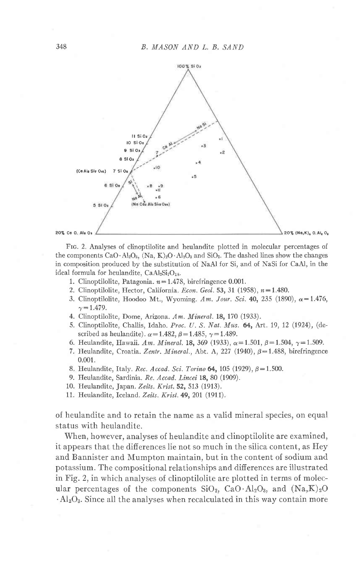

Fro. 2. Analyses of clinoptilolite and heulandite plotted in molecular percentages of the components  $CaO \cdot Al_2O_3$ ,  $(Na, K)_2O \cdot Al_2O_3$  and  $SiO_2$ . The dashed lines show the changes in composition produced by the substitution of NaAl for Si, and of NaSi for CaAI, in the ideal formula for heulandite,  $CaAl<sub>2</sub>Si<sub>7</sub>O<sub>18</sub>$ .

- 1. Clinoptilolite, Patagonia.  $n = 1.478$ , birefringence 0.001.
- 2. Clinoptilolite, Hector, California. Econ. Geol. 53, 31 (1958),  $n=1.480$ .
- 3. Clinoptilolite, Hoodoo Mt., Wyoming. Am. Jour. Sci. 40, 235 (1890),  $\alpha = 1.476$ ,  $\gamma = 1.479$ .
- 4. Clinoptilolite, Dome, Arizona. Am. Mineral. 18, 170 (1933).
- 5. Clinoptilolite, Challis, Idaho. Proe. U. S. Nat. Mus. 64, Art. 19, 12 (1924), (described as heulandite).  $\alpha$ =1.482,  $\beta$ =1.485,  $\gamma$ =1.489.
- 6. Heulandite, Hawaii. Am. Mineral. 18, 369 (1933),  $\alpha = 1.501$ ,  $\beta = 1.504$ ,  $\gamma = 1.509$ .
- 7. Heulandite, Croatia. Zentr. Mineral., Abt. A, 227 (1940),  $\beta$ =1.488, birefringence 0.001.
- 8. Heulandite, Italy. Rec. Accad. Sci. Torino  $64$ , 105 (1929),  $\beta = 1.500$ .
- 9. Heulandite, Sardinia. Re. Accad. Lincei 18, 80 (1909).
- 10. Heulandite, Japan. Zeits. Krist. 52, 513 (1913).
- 11. Heulandite, Iceland. Zeits. Krist. 49, 201 (1911).

of heulandite and to retain the name as a valid mineral species, on equal status with heulandite.

When, however, analyses of heulandite and clinoptilolite are examined, it appears that the differences lie not so much in the silica content, as Hey and Bannister and Mumpton maintain, but in the content of sodium and potassium. The compositional relationships and differences are illustrated in Fig. 2, in which analyses of clinoptilolite are plotted in terms of molecular percentages of the components  $SiO_2$ ,  $CaO \cdot Al_2O_3$ , and  $(Na,K)_2O$  $\cdot$ Al<sub>2</sub>O<sub>3</sub>. Since all the analyses when recalculated in this way contain more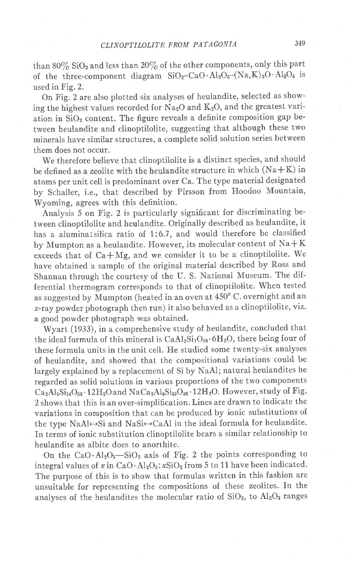than  $80\%$  SiO<sub>2</sub> and less than  $20\%$  of the other components, only this part of the three-component diagram  $SiO_2-CaO \cdot Al_2O_3-(Na,K)_2O \cdot Al_2O_3$  is used in Fig. 2.

On Fig. 2 are also plotted six analyses of heulandite, selected as showing the highest values recorded for  $Na<sub>2</sub>O$  and  $K<sub>2</sub>O$ , and the greatest variation in SiOz content. The figure reveals a definite composition gap between heulandite and clinoptilolite, suggesting that although these two minerals have similar structures, a complete solid solution series between them does not occur,

We therefore believe that clinoptilolite is a distinct species, and should be defined as a zeolite with the heulandite structure in which  $(Na+K)$  in atoms per unit cell is predominant over Ca. The type material designated by Schaller, i.e., that described by Pirsson from Hoodoo Mountain, Wyoming, agrees with this definition.

Analysis 5 on Fig. 2 is particularly significant for discriminating between clinoptilolite and heulandite. Originally described as heulandite, it has a alumina: silica ratio of 1:6.7, and would therefore be classified by Mumpton as a heulandite. However, its molecular content of  $NA + K$ exceeds that of  $Ca+Mg$ , and we consider it to be a clinoptilolite. We have obtained a sample of the original material described by Ross and Shannan through the courtesy of the U. S. National Museum. The differential thermogram corresponds to that of clinoptilolite. When tested as suggested by Mumpton (heated in an oven at  $450^{\circ}$  C. overnight and an r-ray powder photograph then run) it also behaved as a clinoptilolite, viz. a good powder photograph was obtained.

Wyart (1933), in a comprehensive study of heulandite, concluded that the ideal formula of this mineral is  $CaAl_2Si_7O_{18}\cdot6H_2O$ , there being four of these formula units in the unit cell. He studied some twenty-six analyses of heulandite, and showed that the compositional variations could be largely explained by a replacement of Si by NaAl; natural heulandites he regarded as solid solutions in various proportions of the two components  $Ca_2Al_4Si_{14}O_{36}\cdot12H_2O$  and  $NaCa_2Al_5Si_{13}O_{36}\cdot12H_2O$ . However, study of Fig. 2 shows that this is an over-simplification. Lines are drawn to indicate the variations in composition that can be produced by ionic substitutions of the type NaAl $\leftrightarrow$ Si and NaSi $\leftrightarrow$ CaAl in the ideal formula for heulandite. In terms of ionic substitution clinoptilolite bears a similar relationship to heulandite as albite does to anorthite.

On the CaO $\cdot$ Al<sub>2</sub>O<sub>3</sub>—SiO<sub>2</sub> axis of Fig. 2 the points corresponding to integral values of  $x$  in CaO  $\cdot$  Al<sub>2</sub>O<sub>3</sub>:  $x$ SiO<sub>2</sub> from 5 to 11 have been indicated. The purpose of this is to show that formulas written in this fashion are unsuitable for representing the compositions of these zeolites. In the analyses of the heulandites the molecular ratio of  $SiO_2$ , to  $Al_2O_3$  ranges